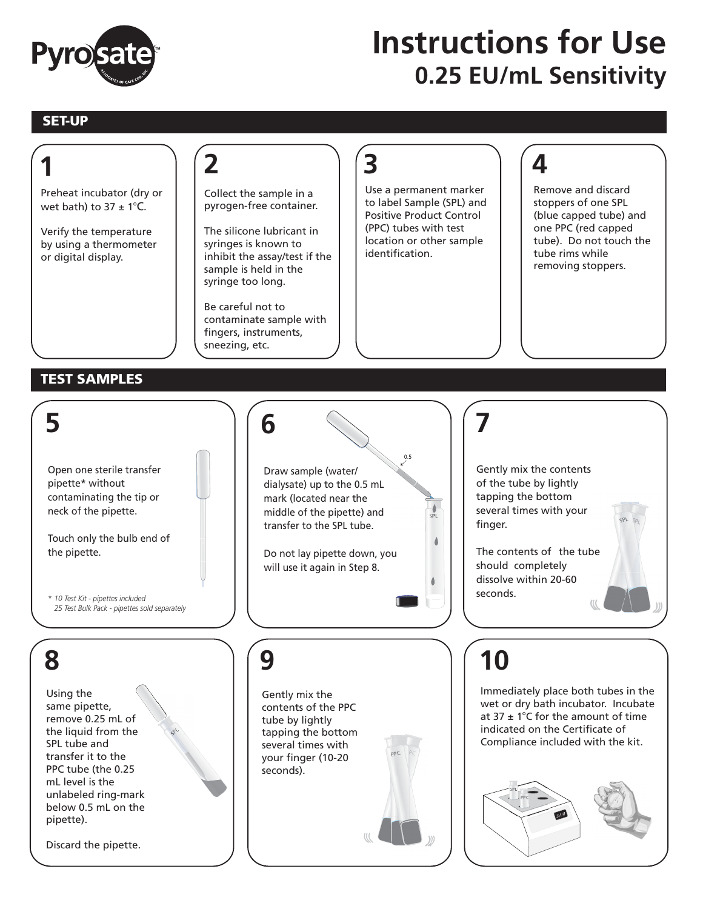

## **0.25 EU/mL Sensitivity Instructions for Use**

## **SET-UP**

**1**

## **3 4 2** Use a permanent marker Remove and discard Preheat incubator (dry or Collect the sample in a to label Sample (SPL) and stoppers of one SPL wet bath) to  $37 \pm 1^{\circ}$ C. pyrogen-free container. Positive Product Control (blue capped tube) and (PPC) tubes with test one PPC (red capped The silicone lubricant in Verify the temperature location or other sample tube). Do not touch the by using a thermometer syringes is known to identification. tube rims while inhibit the assay/test if the or digital display. removing stoppers. sample is held in the syringe too long. Be careful not to contaminate sample with fingers, instruments, sneezing, etc. **TEST SAMPLES 5 7 6** 0.5 Open one sterile transfer Gently mix the contents Draw sample (water/ of the tube by lightly pipette\* without dialysate) up to the 0.5 mL tapping the bottom contaminating the tip or mark (located near the several times with your neck of the pipette. middle of the pipette) and SPL finger. transfer to the SPL tube. Touch only the bulb end of  $\triangle$ The contents of the tube the pipette. Do not lay pipette down, you should completely will use it again in Step 8. dissolve within 20-60 seconds. *\* 10 Test Kit - pipettes included 25 Test Bulk Pack - pipettes sold separately***10 8 9** Immediately place both tubes in the Using the Gently mix the wet or dry bath incubator. Incubate same pipette, contents of the PPC remove 0.25 mL of at 37  $\pm$  1°C for the amount of time tube by lightly indicated on the Certificate of the liquid from the tapping the bottom Compliance included with the kit. SPL tube and several times with transfer it to the your finger (10-20 PPC tube (the 0.25 seconds). mL level is the unlabeled ring-mark below 0.5 mL on the 37.0 pipette). Discard the pipette.